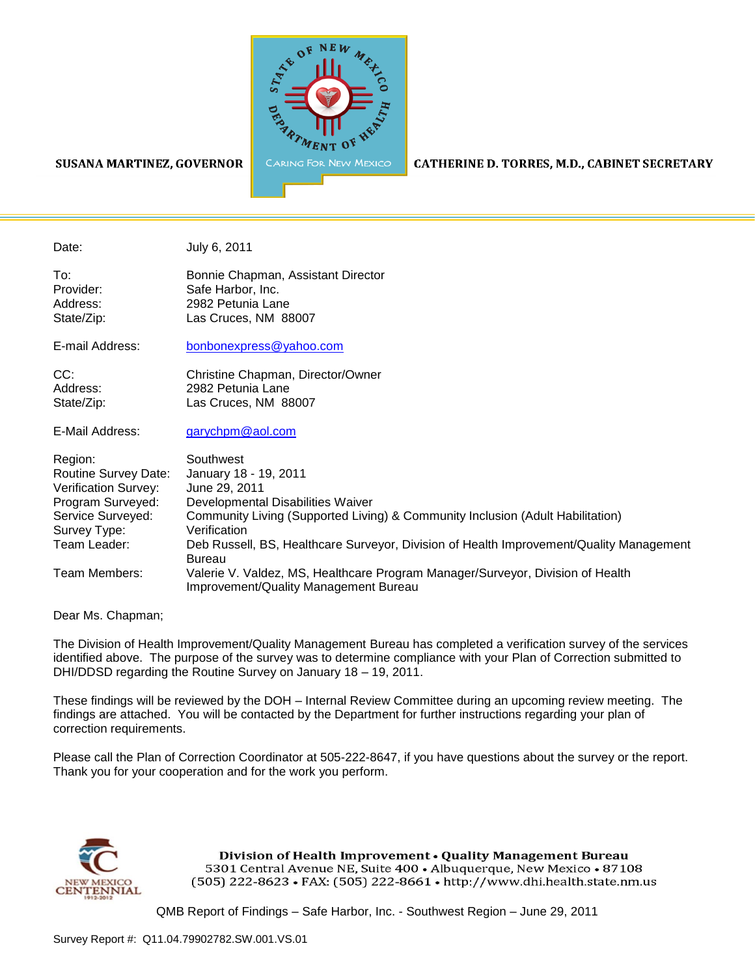



#### CATHERINE D. TORRES, M.D., CABINET SECRETARY

Date: July 6, 2011 To: Bonnie Chapman, Assistant Director Provider: Safe Harbor, Inc. Address: 2982 Petunia Lane State/Zip: Las Cruces, NM 88007 E-mail Address: [bonbonexpress@yahoo.com](mailto:bonbonexpress@yahoo.com) CC: CC: Christine Chapman, Director/Owner Address: 2982 Petunia Lane State/Zip: Las Cruces, NM 88007 E-Mail Address: [garychpm@aol.com](mailto:garychpm@aol.com) Region: Southwest Routine Survey Date: January 18 - 19, 2011 Verification Survey: June 29, 2011 Program Surveyed: Developmental Disabilities Waiver Service Surveyed: Community Living (Supported Living) & Community Inclusion (Adult Habilitation) Survey Type: Verification Team Leader: Deb Russell, BS, Healthcare Surveyor, Division of Health Improvement/Quality Management Bureau Team Members: Valerie V. Valdez, MS, Healthcare Program Manager/Surveyor, Division of Health Improvement/Quality Management Bureau

Dear Ms. Chapman;

The Division of Health Improvement/Quality Management Bureau has completed a verification survey of the services identified above. The purpose of the survey was to determine compliance with your Plan of Correction submitted to DHI/DDSD regarding the Routine Survey on January 18 – 19, 2011.

These findings will be reviewed by the DOH – Internal Review Committee during an upcoming review meeting. The findings are attached. You will be contacted by the Department for further instructions regarding your plan of correction requirements.

Please call the Plan of Correction Coordinator at 505-222-8647, if you have questions about the survey or the report. Thank you for your cooperation and for the work you perform.



Division of Health Improvement . Quality Management Bureau 5301 Central Avenue NE, Suite 400 · Albuquerque, New Mexico · 87108 (505) 222-8623 • FAX: (505) 222-8661 • http://www.dhi.health.state.nm.us

QMB Report of Findings – Safe Harbor, Inc. - Southwest Region – June 29, 2011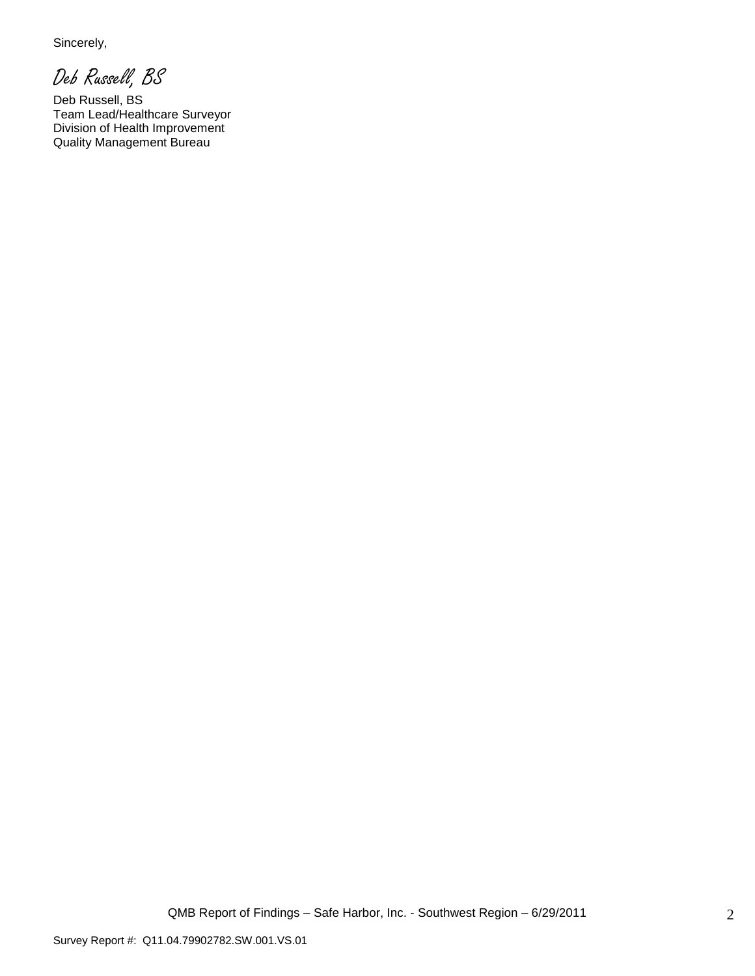Sincerely,

Deb Russell, BS

Deb Russell, BS Team Lead/Healthcare Surveyor Division of Health Improvement Quality Management Bureau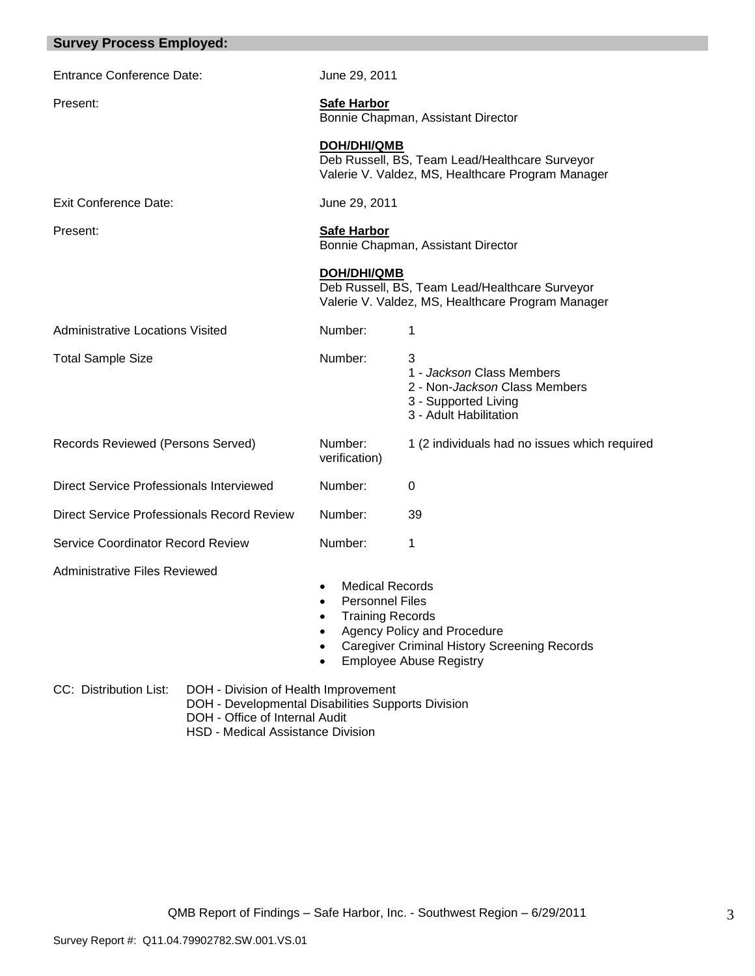| <b>Survey Process Employed:</b>                                                                                                                        |  |                                                                                                                                                                                                          |                                                                                                                   |  |
|--------------------------------------------------------------------------------------------------------------------------------------------------------|--|----------------------------------------------------------------------------------------------------------------------------------------------------------------------------------------------------------|-------------------------------------------------------------------------------------------------------------------|--|
| <b>Entrance Conference Date:</b>                                                                                                                       |  | June 29, 2011                                                                                                                                                                                            |                                                                                                                   |  |
| Present:                                                                                                                                               |  | <b>Safe Harbor</b><br>Bonnie Chapman, Assistant Director                                                                                                                                                 |                                                                                                                   |  |
|                                                                                                                                                        |  | <b>DOH/DHI/QMB</b>                                                                                                                                                                                       | Deb Russell, BS, Team Lead/Healthcare Surveyor<br>Valerie V. Valdez, MS, Healthcare Program Manager               |  |
| <b>Exit Conference Date:</b>                                                                                                                           |  | June 29, 2011                                                                                                                                                                                            |                                                                                                                   |  |
| Present:                                                                                                                                               |  | <b>Safe Harbor</b><br>Bonnie Chapman, Assistant Director                                                                                                                                                 |                                                                                                                   |  |
|                                                                                                                                                        |  | <b>DOH/DHI/QMB</b>                                                                                                                                                                                       | Deb Russell, BS, Team Lead/Healthcare Surveyor<br>Valerie V. Valdez, MS, Healthcare Program Manager               |  |
| <b>Administrative Locations Visited</b>                                                                                                                |  | Number:                                                                                                                                                                                                  | 1                                                                                                                 |  |
| <b>Total Sample Size</b>                                                                                                                               |  | Number:                                                                                                                                                                                                  | 3<br>1 - Jackson Class Members<br>2 - Non-Jackson Class Members<br>3 - Supported Living<br>3 - Adult Habilitation |  |
| Records Reviewed (Persons Served)                                                                                                                      |  | Number:<br>verification)                                                                                                                                                                                 | 1 (2 individuals had no issues which required                                                                     |  |
| Direct Service Professionals Interviewed                                                                                                               |  | Number:                                                                                                                                                                                                  | 0                                                                                                                 |  |
| Direct Service Professionals Record Review                                                                                                             |  | Number:                                                                                                                                                                                                  | 39                                                                                                                |  |
| <b>Service Coordinator Record Review</b>                                                                                                               |  | Number:                                                                                                                                                                                                  | 1                                                                                                                 |  |
| <b>Administrative Files Reviewed</b>                                                                                                                   |  | <b>Medical Records</b><br>٠<br><b>Personnel Files</b><br><b>Training Records</b><br>Agency Policy and Procedure<br><b>Caregiver Criminal History Screening Records</b><br><b>Employee Abuse Registry</b> |                                                                                                                   |  |
| CC: Distribution List:<br>DOH - Division of Health Improvement<br>DOH - Developmental Disabilities Supports Division<br>DOH - Office of Internal Audit |  |                                                                                                                                                                                                          |                                                                                                                   |  |

HSD - Medical Assistance Division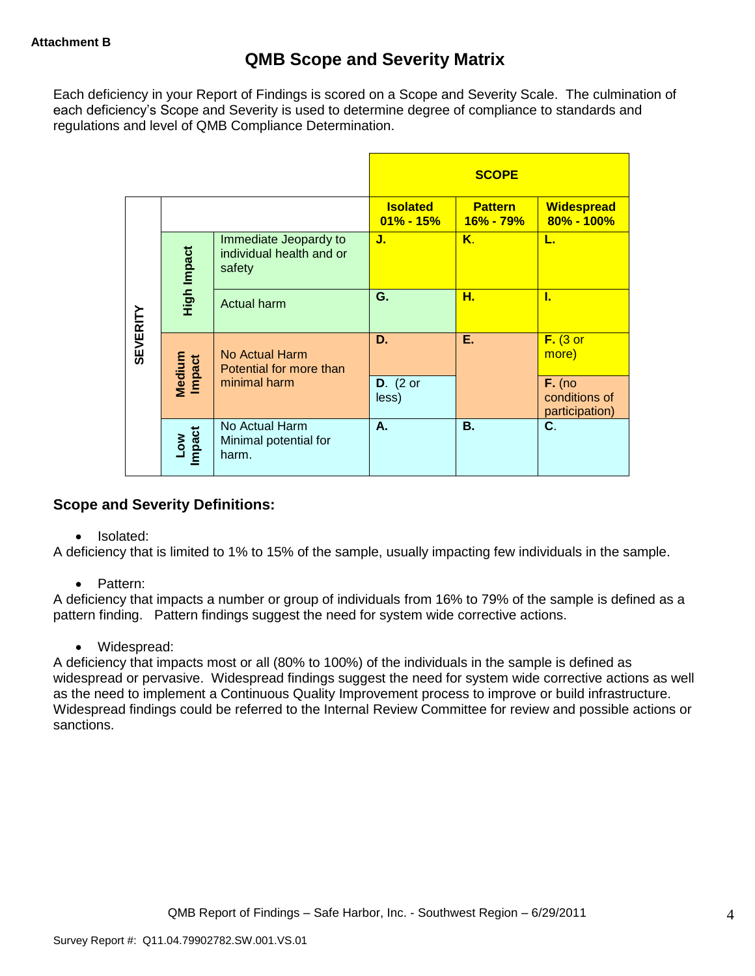Each deficiency in your Report of Findings is scored on a Scope and Severity Scale. The culmination of each deficiency"s Scope and Severity is used to determine degree of compliance to standards and regulations and level of QMB Compliance Determination.

|                 |                      |                                                             |                                  | <b>SCOPE</b>                |                                             |
|-----------------|----------------------|-------------------------------------------------------------|----------------------------------|-----------------------------|---------------------------------------------|
|                 |                      |                                                             | <b>Isolated</b><br>$01\% - 15\%$ | <b>Pattern</b><br>16% - 79% | <b>Widespread</b><br>$80\% - 100\%$         |
| <b>SEVERITY</b> | High Impact          | Immediate Jeopardy to<br>individual health and or<br>safety | J.                               | K.                          | L.                                          |
|                 |                      | <b>Actual harm</b>                                          | G.                               | н.                          | L                                           |
|                 | Medium<br>Impact     | No Actual Harm<br>Potential for more than<br>minimal harm   | D.                               | Е.                          | $F.$ (3 or<br>more)                         |
|                 |                      |                                                             | $D.$ (2 or<br>less)              |                             | $F.$ (no<br>conditions of<br>participation) |
|                 | <b>Impact</b><br>Low | No Actual Harm<br>Minimal potential for<br>harm.            | А.                               | <b>B.</b>                   | C.                                          |

# **Scope and Severity Definitions:**

• Isolated:

A deficiency that is limited to 1% to 15% of the sample, usually impacting few individuals in the sample.

• Pattern:

A deficiency that impacts a number or group of individuals from 16% to 79% of the sample is defined as a pattern finding. Pattern findings suggest the need for system wide corrective actions.

• Widespread:

A deficiency that impacts most or all (80% to 100%) of the individuals in the sample is defined as widespread or pervasive. Widespread findings suggest the need for system wide corrective actions as well as the need to implement a Continuous Quality Improvement process to improve or build infrastructure. Widespread findings could be referred to the Internal Review Committee for review and possible actions or sanctions.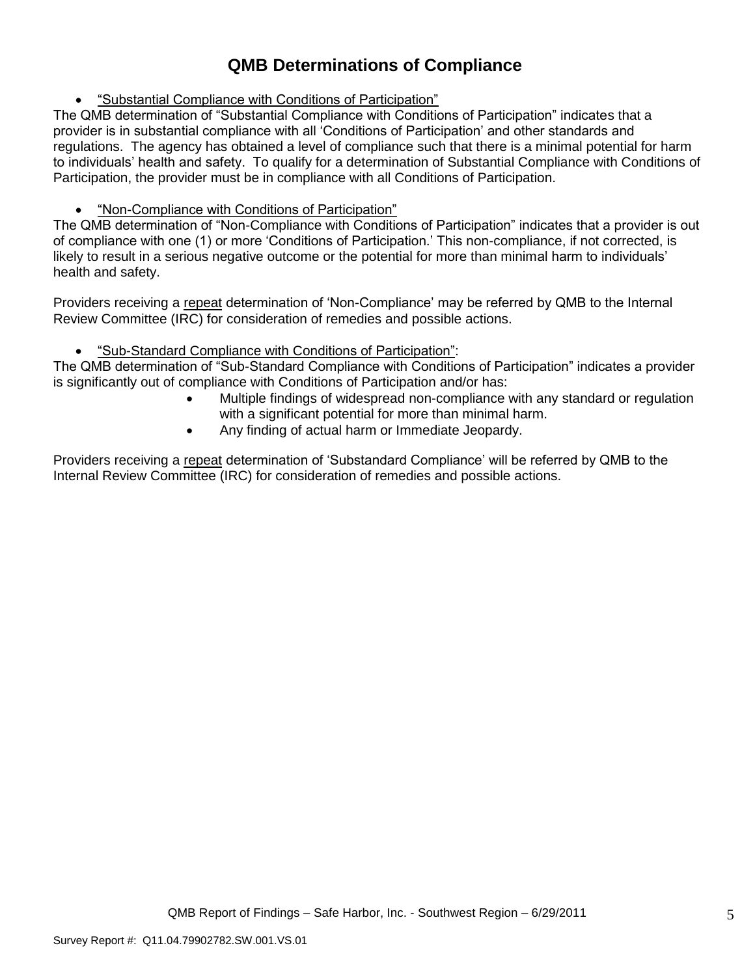# **QMB Determinations of Compliance**

"Substantial Compliance with Conditions of Participation"

The QMB determination of "Substantial Compliance with Conditions of Participation" indicates that a provider is in substantial compliance with all "Conditions of Participation" and other standards and regulations. The agency has obtained a level of compliance such that there is a minimal potential for harm to individuals" health and safety. To qualify for a determination of Substantial Compliance with Conditions of Participation, the provider must be in compliance with all Conditions of Participation.

## "Non-Compliance with Conditions of Participation"

The QMB determination of "Non-Compliance with Conditions of Participation" indicates that a provider is out of compliance with one (1) or more "Conditions of Participation." This non-compliance, if not corrected, is likely to result in a serious negative outcome or the potential for more than minimal harm to individuals' health and safety.

Providers receiving a repeat determination of 'Non-Compliance' may be referred by QMB to the Internal Review Committee (IRC) for consideration of remedies and possible actions.

## "Sub-Standard Compliance with Conditions of Participation":

The QMB determination of "Sub-Standard Compliance with Conditions of Participation" indicates a provider is significantly out of compliance with Conditions of Participation and/or has:

- Multiple findings of widespread non-compliance with any standard or regulation with a significant potential for more than minimal harm.
- Any finding of actual harm or Immediate Jeopardy.

Providers receiving a repeat determination of 'Substandard Compliance' will be referred by QMB to the Internal Review Committee (IRC) for consideration of remedies and possible actions.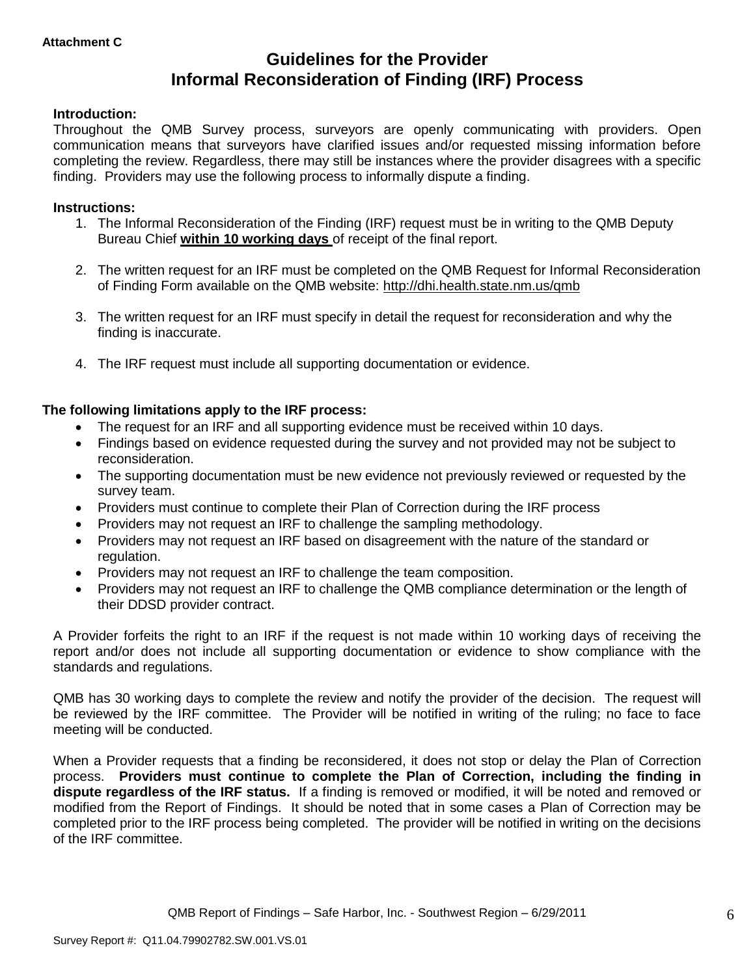# **Guidelines for the Provider Informal Reconsideration of Finding (IRF) Process**

## **Introduction:**

Throughout the QMB Survey process, surveyors are openly communicating with providers. Open communication means that surveyors have clarified issues and/or requested missing information before completing the review. Regardless, there may still be instances where the provider disagrees with a specific finding. Providers may use the following process to informally dispute a finding.

#### **Instructions:**

- 1. The Informal Reconsideration of the Finding (IRF) request must be in writing to the QMB Deputy Bureau Chief **within 10 working days** of receipt of the final report.
- 2. The written request for an IRF must be completed on the QMB Request for Informal Reconsideration of Finding Form available on the QMB website:<http://dhi.health.state.nm.us/qmb>
- 3. The written request for an IRF must specify in detail the request for reconsideration and why the finding is inaccurate.
- 4. The IRF request must include all supporting documentation or evidence.

## **The following limitations apply to the IRF process:**

- The request for an IRF and all supporting evidence must be received within 10 days.
- Findings based on evidence requested during the survey and not provided may not be subject to reconsideration.
- The supporting documentation must be new evidence not previously reviewed or requested by the survey team.
- Providers must continue to complete their Plan of Correction during the IRF process
- Providers may not request an IRF to challenge the sampling methodology.
- Providers may not request an IRF based on disagreement with the nature of the standard or regulation.
- Providers may not request an IRF to challenge the team composition.
- Providers may not request an IRF to challenge the QMB compliance determination or the length of their DDSD provider contract.

A Provider forfeits the right to an IRF if the request is not made within 10 working days of receiving the report and/or does not include all supporting documentation or evidence to show compliance with the standards and regulations.

QMB has 30 working days to complete the review and notify the provider of the decision. The request will be reviewed by the IRF committee. The Provider will be notified in writing of the ruling; no face to face meeting will be conducted.

When a Provider requests that a finding be reconsidered, it does not stop or delay the Plan of Correction process. **Providers must continue to complete the Plan of Correction, including the finding in dispute regardless of the IRF status.** If a finding is removed or modified, it will be noted and removed or modified from the Report of Findings. It should be noted that in some cases a Plan of Correction may be completed prior to the IRF process being completed. The provider will be notified in writing on the decisions of the IRF committee.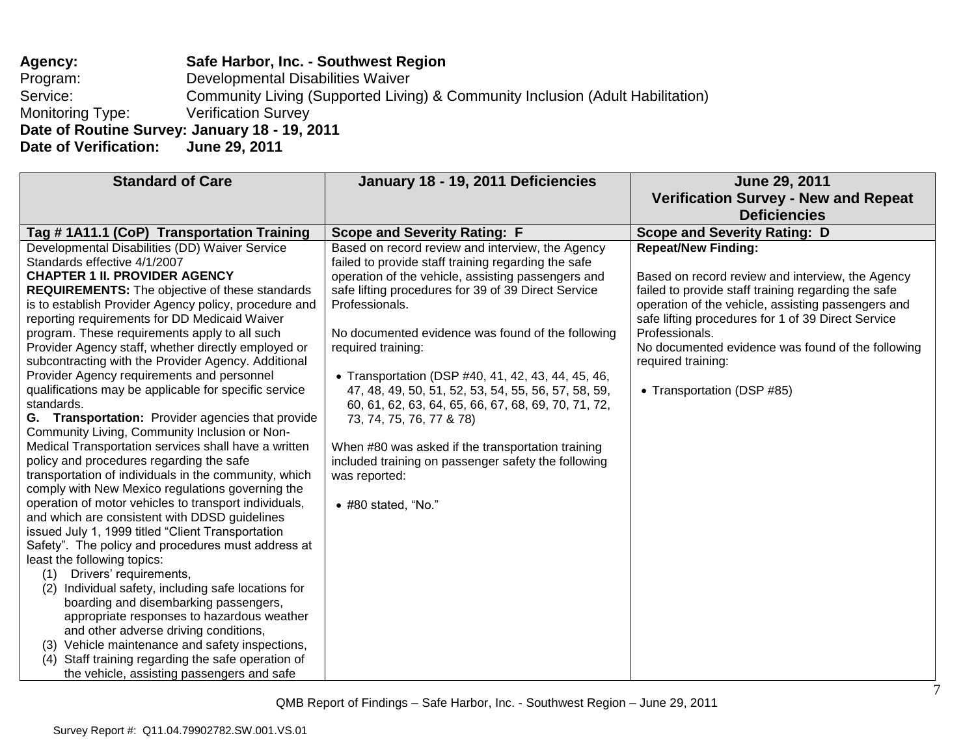## **Agency: Safe Harbor, Inc. - Southwest Region** Program: Developmental Disabilities Waiver Service: Community Living (Supported Living) & Community Inclusion (Adult Habilitation) Monitoring Type: Verification Survey **Date of Routine Survey: January 18 - 19, 2011 Date of Verification: June 29, 2011**

| <b>Standard of Care</b>                                                                                | January 18 - 19, 2011 Deficiencies                  | June 29, 2011<br><b>Verification Survey - New and Repeat</b>                                             |
|--------------------------------------------------------------------------------------------------------|-----------------------------------------------------|----------------------------------------------------------------------------------------------------------|
|                                                                                                        |                                                     | <b>Deficiencies</b>                                                                                      |
| Tag #1A11.1 (CoP) Transportation Training                                                              | <b>Scope and Severity Rating: F</b>                 | <b>Scope and Severity Rating: D</b>                                                                      |
| Developmental Disabilities (DD) Waiver Service                                                         | Based on record review and interview, the Agency    | <b>Repeat/New Finding:</b>                                                                               |
| Standards effective 4/1/2007                                                                           | failed to provide staff training regarding the safe |                                                                                                          |
| <b>CHAPTER 1 II. PROVIDER AGENCY</b>                                                                   | operation of the vehicle, assisting passengers and  | Based on record review and interview, the Agency                                                         |
| <b>REQUIREMENTS:</b> The objective of these standards                                                  | safe lifting procedures for 39 of 39 Direct Service | failed to provide staff training regarding the safe                                                      |
| is to establish Provider Agency policy, procedure and<br>reporting requirements for DD Medicaid Waiver | Professionals.                                      | operation of the vehicle, assisting passengers and<br>safe lifting procedures for 1 of 39 Direct Service |
| program. These requirements apply to all such                                                          | No documented evidence was found of the following   | Professionals.                                                                                           |
| Provider Agency staff, whether directly employed or                                                    | required training:                                  | No documented evidence was found of the following                                                        |
| subcontracting with the Provider Agency. Additional                                                    |                                                     | required training:                                                                                       |
| Provider Agency requirements and personnel                                                             | • Transportation (DSP #40, 41, 42, 43, 44, 45, 46,  |                                                                                                          |
| qualifications may be applicable for specific service                                                  | 47, 48, 49, 50, 51, 52, 53, 54, 55, 56, 57, 58, 59, | • Transportation (DSP #85)                                                                               |
| standards.                                                                                             | 60, 61, 62, 63, 64, 65, 66, 67, 68, 69, 70, 71, 72, |                                                                                                          |
| G. Transportation: Provider agencies that provide                                                      | 73, 74, 75, 76, 77 & 78)                            |                                                                                                          |
| Community Living, Community Inclusion or Non-                                                          |                                                     |                                                                                                          |
| Medical Transportation services shall have a written                                                   | When #80 was asked if the transportation training   |                                                                                                          |
| policy and procedures regarding the safe<br>transportation of individuals in the community, which      | included training on passenger safety the following |                                                                                                          |
| comply with New Mexico regulations governing the                                                       | was reported:                                       |                                                                                                          |
| operation of motor vehicles to transport individuals,                                                  | $\bullet$ #80 stated, "No."                         |                                                                                                          |
| and which are consistent with DDSD guidelines                                                          |                                                     |                                                                                                          |
| issued July 1, 1999 titled "Client Transportation                                                      |                                                     |                                                                                                          |
| Safety". The policy and procedures must address at                                                     |                                                     |                                                                                                          |
| least the following topics:                                                                            |                                                     |                                                                                                          |
| Drivers' requirements,<br>(1)                                                                          |                                                     |                                                                                                          |
| Individual safety, including safe locations for<br>(2)                                                 |                                                     |                                                                                                          |
| boarding and disembarking passengers,                                                                  |                                                     |                                                                                                          |
| appropriate responses to hazardous weather                                                             |                                                     |                                                                                                          |
| and other adverse driving conditions,<br>(3) Vehicle maintenance and safety inspections,               |                                                     |                                                                                                          |
| Staff training regarding the safe operation of<br>(4)                                                  |                                                     |                                                                                                          |
| the vehicle, assisting passengers and safe                                                             |                                                     |                                                                                                          |

7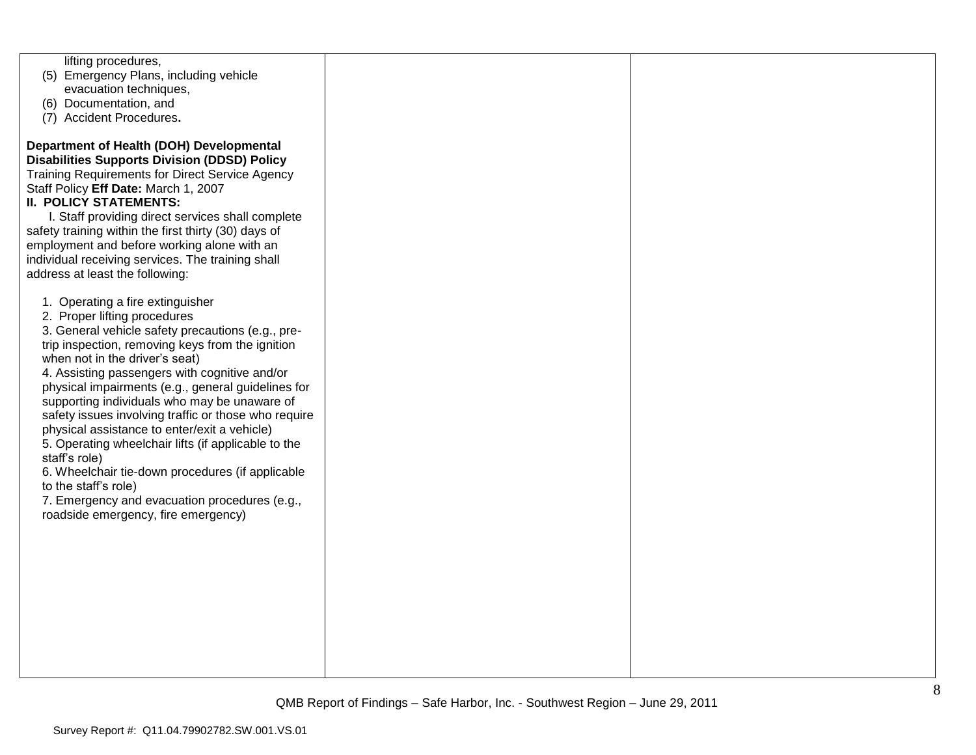lifting procedures,

- (5) Emergency Plans, including vehicle evacuation techniques,
- (6) Documentation, and
- (7) Accident Procedures**.**

#### **Department of Health (DOH) Developmental Disabilities Supports Division (DDSD) Policy**  Training Requirements for Direct Service Agency Staff Policy **Eff Date:** March 1, 2007

### **II. POLICY STATEMENTS:**

I. Staff providing direct services shall complete safety training within the first thirty (30) days of employment and before working alone with an individual receiving services. The training shall address at least the following:

- 1. Operating a fire extinguisher
- 2. Proper lifting procedures

3. General vehicle safety precautions (e.g., pretrip inspection, removing keys from the ignition when not in the driver's seat)

4. Assisting passengers with cognitive and/or physical impairments (e.g., general guidelines for supporting individuals who may be unaware of safety issues involving traffic or those who require physical assistance to enter/exit a vehicle)

5. Operating wheelchair lifts (if applicable to the staff"s role)

6. Wheelchair tie-down procedures (if applicable to the staff"s role)

7. Emergency and evacuation procedures (e.g., roadside emergency, fire emergency)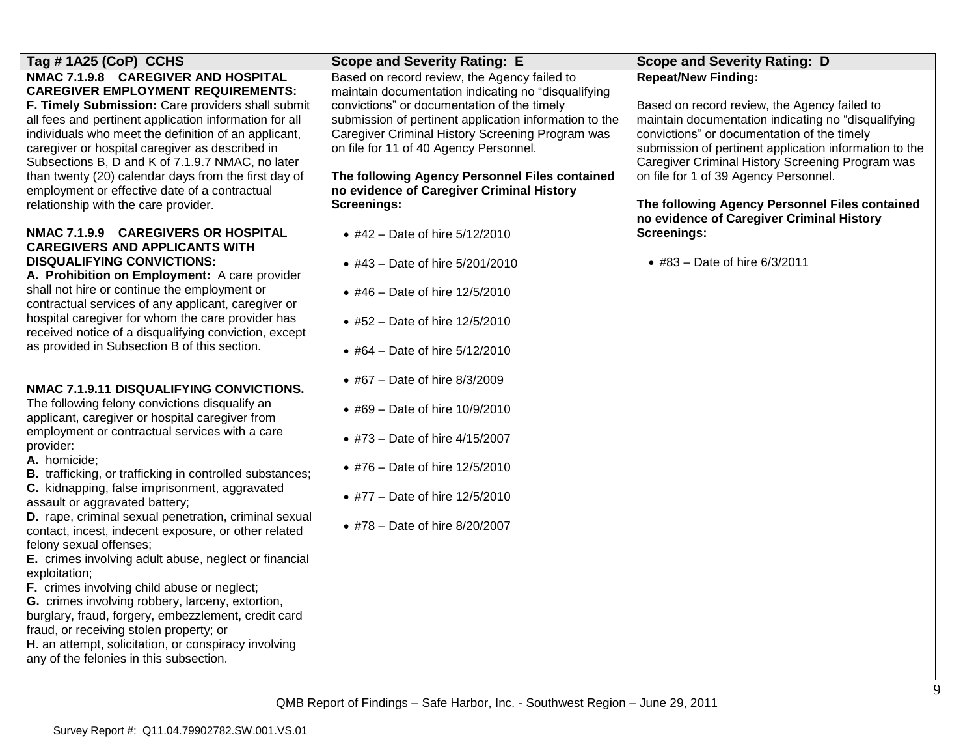| Tag #1A25 (CoP) CCHS                                                                                                                                                                                                                                                                                                                                                                                                                                                                                                                                                                                                                                                                                                                                                                                                                                                                                             | <b>Scope and Severity Rating: E</b>                                                                                                                                                                                                                                                                        | <b>Scope and Severity Rating: D</b>                                                                                                                                                                                                                                                            |
|------------------------------------------------------------------------------------------------------------------------------------------------------------------------------------------------------------------------------------------------------------------------------------------------------------------------------------------------------------------------------------------------------------------------------------------------------------------------------------------------------------------------------------------------------------------------------------------------------------------------------------------------------------------------------------------------------------------------------------------------------------------------------------------------------------------------------------------------------------------------------------------------------------------|------------------------------------------------------------------------------------------------------------------------------------------------------------------------------------------------------------------------------------------------------------------------------------------------------------|------------------------------------------------------------------------------------------------------------------------------------------------------------------------------------------------------------------------------------------------------------------------------------------------|
| NMAC 7.1.9.8 CAREGIVER AND HOSPITAL<br><b>CAREGIVER EMPLOYMENT REQUIREMENTS:</b><br>F. Timely Submission: Care providers shall submit<br>all fees and pertinent application information for all<br>individuals who meet the definition of an applicant,<br>caregiver or hospital caregiver as described in<br>Subsections B, D and K of 7.1.9.7 NMAC, no later                                                                                                                                                                                                                                                                                                                                                                                                                                                                                                                                                   | Based on record review, the Agency failed to<br>maintain documentation indicating no "disqualifying<br>convictions" or documentation of the timely<br>submission of pertinent application information to the<br>Caregiver Criminal History Screening Program was<br>on file for 11 of 40 Agency Personnel. | <b>Repeat/New Finding:</b><br>Based on record review, the Agency failed to<br>maintain documentation indicating no "disqualifying<br>convictions" or documentation of the timely<br>submission of pertinent application information to the<br>Caregiver Criminal History Screening Program was |
| than twenty (20) calendar days from the first day of<br>employment or effective date of a contractual<br>relationship with the care provider.                                                                                                                                                                                                                                                                                                                                                                                                                                                                                                                                                                                                                                                                                                                                                                    | The following Agency Personnel Files contained<br>no evidence of Caregiver Criminal History<br><b>Screenings:</b>                                                                                                                                                                                          | on file for 1 of 39 Agency Personnel.<br>The following Agency Personnel Files contained<br>no evidence of Caregiver Criminal History                                                                                                                                                           |
| NMAC 7.1.9.9 CAREGIVERS OR HOSPITAL<br><b>CAREGIVERS AND APPLICANTS WITH</b><br><b>DISQUALIFYING CONVICTIONS:</b><br>A. Prohibition on Employment: A care provider<br>shall not hire or continue the employment or<br>contractual services of any applicant, caregiver or<br>hospital caregiver for whom the care provider has<br>received notice of a disqualifying conviction, except<br>as provided in Subsection B of this section.                                                                                                                                                                                                                                                                                                                                                                                                                                                                          | • #42 - Date of hire $5/12/2010$<br>• #43 – Date of hire $5/201/2010$<br>• #46 - Date of hire 12/5/2010<br>• #52 - Date of hire 12/5/2010<br>• #64 – Date of hire $5/12/2010$                                                                                                                              | <b>Screenings:</b><br>• #83 – Date of hire $6/3/2011$                                                                                                                                                                                                                                          |
| NMAC 7.1.9.11 DISQUALIFYING CONVICTIONS.<br>The following felony convictions disqualify an<br>applicant, caregiver or hospital caregiver from<br>employment or contractual services with a care<br>provider:<br>A. homicide;<br><b>B.</b> trafficking, or trafficking in controlled substances;<br>C. kidnapping, false imprisonment, aggravated<br>assault or aggravated battery;<br>D. rape, criminal sexual penetration, criminal sexual<br>contact, incest, indecent exposure, or other related<br>felony sexual offenses;<br>E. crimes involving adult abuse, neglect or financial<br>exploitation;<br>F. crimes involving child abuse or neglect;<br>G. crimes involving robbery, larceny, extortion,<br>burglary, fraud, forgery, embezzlement, credit card<br>fraud, or receiving stolen property; or<br>H. an attempt, solicitation, or conspiracy involving<br>any of the felonies in this subsection. | • #67 - Date of hire 8/3/2009<br>• #69 - Date of hire 10/9/2010<br>• #73 - Date of hire 4/15/2007<br>• #76 - Date of hire 12/5/2010<br>• #77 - Date of hire 12/5/2010<br>• #78 - Date of hire 8/20/2007                                                                                                    |                                                                                                                                                                                                                                                                                                |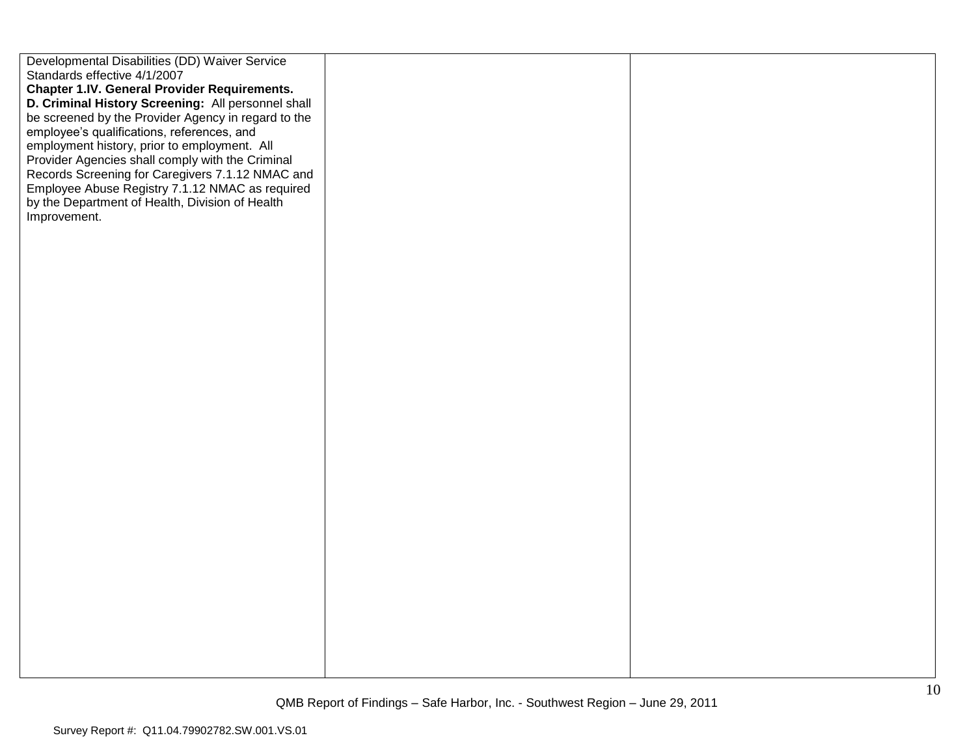Developmental Disabilities (DD) Waiver Service Standards effective 4/1/2007 **Chapter 1.IV. General Provider Requirements. D. Criminal History Screening:** All personnel shall be screened by the Provider Agency in regard to the employee's qualifications, references, and employment history, prior to employment. All Provider Agencies shall comply with the Criminal Records Screening for Caregivers 7.1.12 NMAC and Employee Abuse Registry 7.1.12 NMAC as required by the Department of Health, Division of Health Improvement.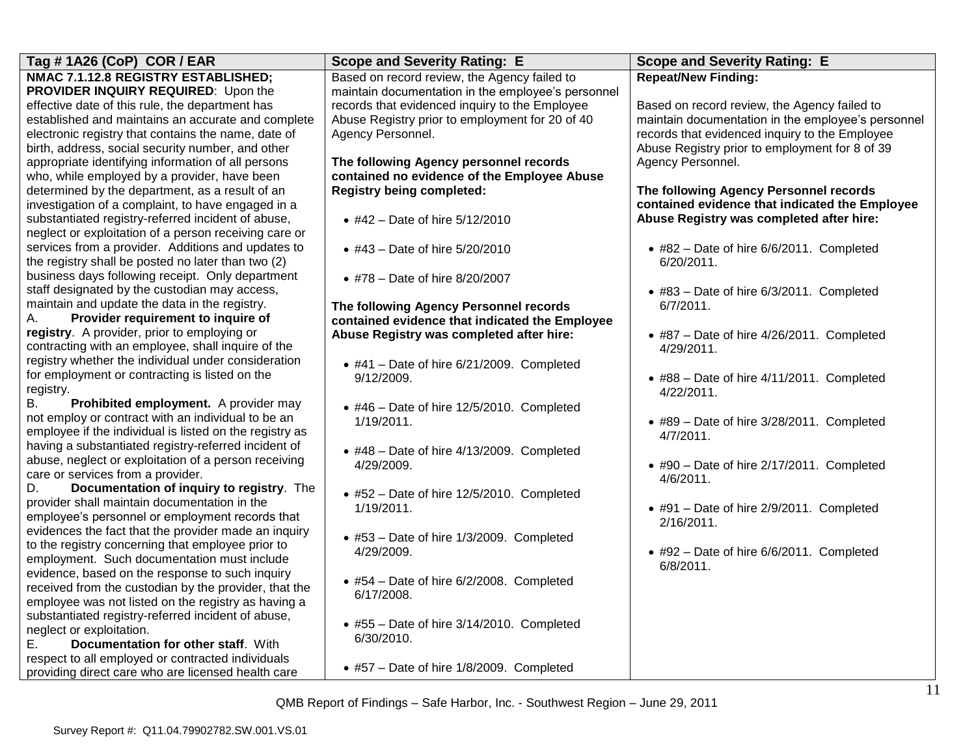| Tag #1A26 (CoP) COR / EAR                               | <b>Scope and Severity Rating: E</b>                      | <b>Scope and Severity Rating: E</b>                |
|---------------------------------------------------------|----------------------------------------------------------|----------------------------------------------------|
| NMAC 7.1.12.8 REGISTRY ESTABLISHED;                     | Based on record review, the Agency failed to             | <b>Repeat/New Finding:</b>                         |
| PROVIDER INQUIRY REQUIRED: Upon the                     | maintain documentation in the employee's personnel       |                                                    |
| effective date of this rule, the department has         | records that evidenced inquiry to the Employee           | Based on record review, the Agency failed to       |
| established and maintains an accurate and complete      | Abuse Registry prior to employment for 20 of 40          | maintain documentation in the employee's personnel |
| electronic registry that contains the name, date of     | Agency Personnel.                                        | records that evidenced inquiry to the Employee     |
| birth, address, social security number, and other       |                                                          | Abuse Registry prior to employment for 8 of 39     |
| appropriate identifying information of all persons      | The following Agency personnel records                   | Agency Personnel.                                  |
| who, while employed by a provider, have been            | contained no evidence of the Employee Abuse              |                                                    |
| determined by the department, as a result of an         | <b>Registry being completed:</b>                         | The following Agency Personnel records             |
| investigation of a complaint, to have engaged in a      |                                                          | contained evidence that indicated the Employee     |
| substantiated registry-referred incident of abuse,      | • #42 – Date of hire $5/12/2010$                         | Abuse Registry was completed after hire:           |
| neglect or exploitation of a person receiving care or   |                                                          |                                                    |
| services from a provider. Additions and updates to      | • #43 – Date of hire $5/20/2010$                         | • #82 - Date of hire 6/6/2011. Completed           |
| the registry shall be posted no later than two (2)      |                                                          | $6/20/2011$ .                                      |
| business days following receipt. Only department        | • #78 - Date of hire 8/20/2007                           |                                                    |
| staff designated by the custodian may access,           |                                                          | • #83 - Date of hire 6/3/2011. Completed           |
| maintain and update the data in the registry.           | The following Agency Personnel records                   | $6/7/2011$ .                                       |
| Provider requirement to inquire of<br>А.                | contained evidence that indicated the Employee           |                                                    |
| registry. A provider, prior to employing or             | Abuse Registry was completed after hire:                 | • #87 - Date of hire 4/26/2011. Completed          |
| contracting with an employee, shall inquire of the      |                                                          | 4/29/2011.                                         |
| registry whether the individual under consideration     | $*$ #41 - Date of hire 6/21/2009. Completed              |                                                    |
| for employment or contracting is listed on the          | 9/12/2009.                                               | $\bullet$ #88 - Date of hire 4/11/2011. Completed  |
| registry.                                               |                                                          | 4/22/2011.                                         |
| В.<br>Prohibited employment. A provider may             | $\bullet$ #46 - Date of hire 12/5/2010. Completed        |                                                    |
| not employ or contract with an individual to be an      | 1/19/2011.                                               | • #89 - Date of hire 3/28/2011. Completed          |
| employee if the individual is listed on the registry as |                                                          | $4/7/2011$ .                                       |
| having a substantiated registry-referred incident of    | $*$ #48 - Date of hire 4/13/2009. Completed              |                                                    |
| abuse, neglect or exploitation of a person receiving    | 4/29/2009.                                               | • #90 - Date of hire 2/17/2011. Completed          |
| care or services from a provider.                       |                                                          | $4/6/2011$ .                                       |
| Documentation of inquiry to registry. The<br>D.         | • #52 - Date of hire 12/5/2010. Completed                |                                                    |
| provider shall maintain documentation in the            | $1/19/2011$ .                                            | • #91 - Date of hire 2/9/2011. Completed           |
| employee's personnel or employment records that         |                                                          | 2/16/2011.                                         |
| evidences the fact that the provider made an inquiry    | • #53 - Date of hire 1/3/2009. Completed                 |                                                    |
| to the registry concerning that employee prior to       | 4/29/2009.                                               | • #92 - Date of hire 6/6/2011. Completed           |
| employment. Such documentation must include             |                                                          | $6/8/2011$ .                                       |
| evidence, based on the response to such inquiry         |                                                          |                                                    |
| received from the custodian by the provider, that the   | $*$ #54 - Date of hire 6/2/2008. Completed<br>6/17/2008. |                                                    |
| employee was not listed on the registry as having a     |                                                          |                                                    |
| substantiated registry-referred incident of abuse,      |                                                          |                                                    |
| neglect or exploitation.                                | $\bullet$ #55 - Date of hire 3/14/2010. Completed        |                                                    |
| Documentation for other staff. With<br>Е.               | 6/30/2010.                                               |                                                    |
| respect to all employed or contracted individuals       |                                                          |                                                    |
| providing direct care who are licensed health care      | • #57 - Date of hire 1/8/2009. Completed                 |                                                    |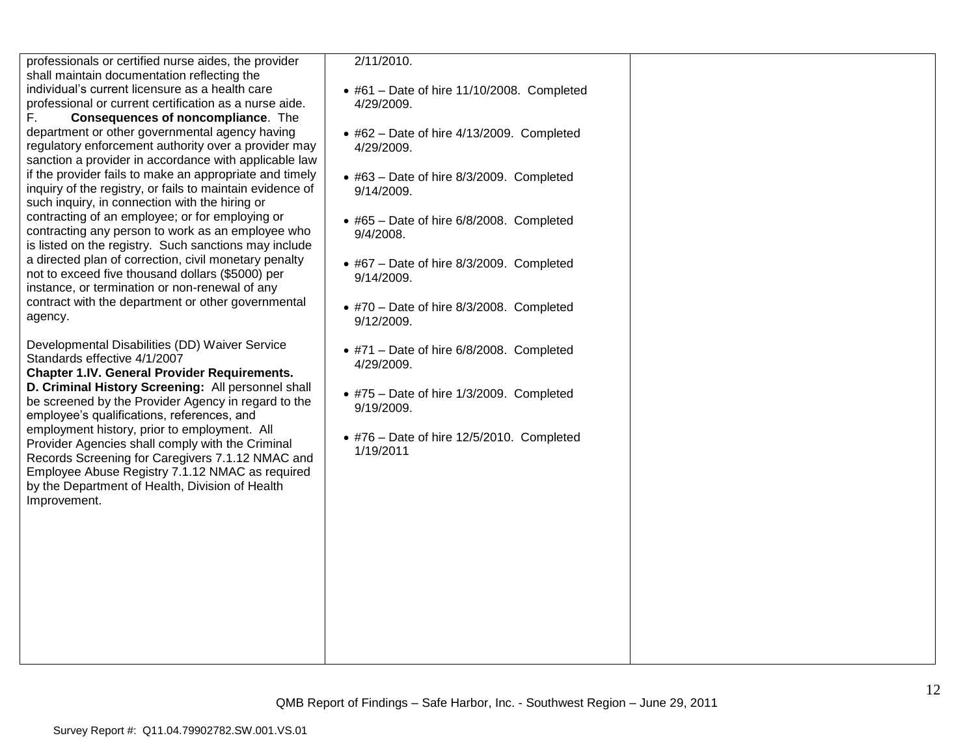professionals or certified nurse aides, the provider shall maintain documentation reflecting the individual"s current licensure as a health care professional or current certification as a nurse aide.

F. **Consequences of noncompliance**. The department or other governmental agency having regulatory enforcement authority over a provider may sanction a provider in accordance with applicable law if the provider fails to make an appropriate and timely inquiry of the registry, or fails to maintain evidence of such inquiry, in connection with the hiring or contracting of an employee; or for employing or contracting any person to work as an employee who is listed on the registry. Such sanctions may include a directed plan of correction, civil monetary penalty not to exceed five thousand dollars (\$5000) per instance, or termination or non-renewal of any contract with the department or other governmental agency.

Developmental Disabilities (DD) Waiver Service Standards effective 4/1/2007

**Chapter 1.IV. General Provider Requirements. D. Criminal History Screening:** All personnel shall be screened by the Provider Agency in regard to the employee"s qualifications, references, and employment history, prior to employment. All Provider Agencies shall comply with the Criminal Records Screening for Caregivers 7.1.12 NMAC and Employee Abuse Registry 7.1.12 NMAC as required by the Department of Health, Division of Health Improvement.

2/11/2010.

- #61 Date of hire 11/10/2008. Completed 4/29/2009.
- #62 Date of hire 4/13/2009. Completed 4/29/2009.
- #63 Date of hire 8/3/2009. Completed 9/14/2009.
- #65 Date of hire 6/8/2008. Completed 9/4/2008.
- #67 Date of hire 8/3/2009. Completed 9/14/2009.
- #70 Date of hire 8/3/2008. Completed 9/12/2009.
- #71 Date of hire 6/8/2008. Completed 4/29/2009.
- #75 Date of hire 1/3/2009. Completed 9/19/2009.
- #76 Date of hire 12/5/2010. Completed 1/19/2011